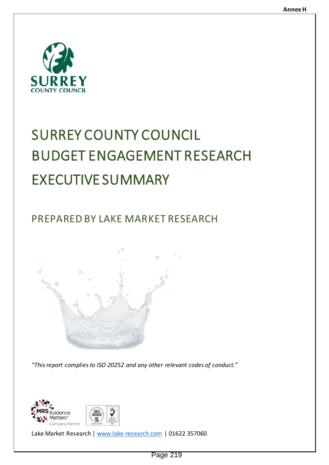

# SURREY COUNTY COUNCIL BUDGET ENGAGEMENT RESEARCH EXECUTIVE SUMMARY

PREPARED BY LAKE MARKET RESEARCH



*"This report complies to ISO 20252 and any other relevant codes of conduct."*



Lake Market Research | [www.lake-research.com](http://www.lake-research.com/) | 01622 357060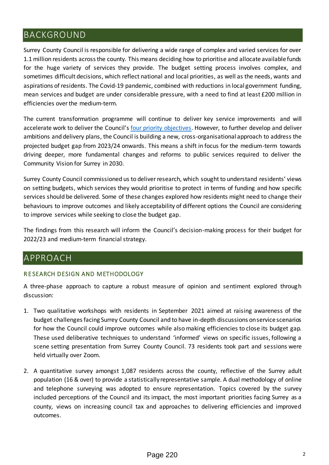# BACKGROUND

Surrey County Council is responsible for delivering a wide range of complex and varied services for over 1.1 million residents across the county. This means deciding how to prioritise and allocate available funds for the huge variety of services they provide. The budget setting process involves complex, and sometimes difficult decisions, which reflect national and local priorities, as well as the needs, wants and aspirations of residents. The Covid-19 pandemic, combined with reductions in local government funding, mean services and budget are under considerable pressure, with a need to find at least £200 million in efficiencies over the medium-term.

The current transformation programme will continue to deliver key service improvements and will accelerate work to deliver the Council's [four priority objectives.](https://www.surreycc.gov.uk/council-and-democracy/finance-and-performance/our-performance/our-organisation-strategy/2021-to-2026#panel-5) However, to further develop and deliver ambitions and delivery plans, the Council is building a new, cross-organisational approach to address the projected budget gap from 2023/24 onwards. This means a shift in focus for the medium-term towards driving deeper, more fundamental changes and reforms to public services required to deliver the Community Vision for Surrey in 2030.

Surrey County Council commissioned us to deliver research, which sought to understand residents' views on setting budgets, which services they would prioritise to protect in terms of funding and how specific services should be delivered. Some of these changes explored how residents might need to change their behaviours to improve outcomes and likely acceptability of different options the Council are considering to improve services while seeking to close the budget gap.

The findings from this research will inform the Council's decision-making process for their budget for 2022/23 and medium-term financial strategy.

# APPROACH

# R E SEARCH DESIGN AND METHODOLOGY

A three-phase approach to capture a robust measure of opinion and sentiment explored through discussion:

- 1. Two qualitative workshops with residents in September 2021 aimed at raising awareness of the budget challenges facing Surrey County Council and to have in-depth discussions on service scenarios for how the Council could improve outcomes while also making efficiencies to close its budget gap. These used deliberative techniques to understand 'informed' views on specific issues, following a scene setting presentation from Surrey County Council. 73 residents took part and sessions were held virtually over Zoom.
- 2. A quantitative survey amongst 1,087 residents across the county, reflective of the Surrey adult population (16 & over) to provide a statistically representative sample. A dual methodology of online and telephone surveying was adopted to ensure representation. Topics covered by the survey included perceptions of the Council and its impact, the most important priorities facing Surrey as a county, views on increasing council tax and approaches to delivering efficiencies and improved outcomes.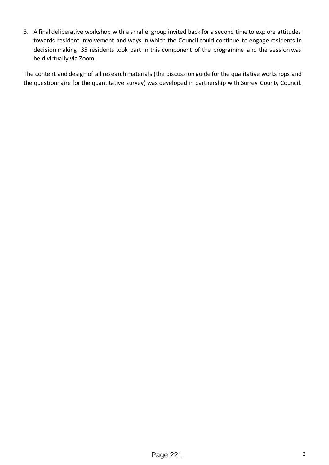3. A final deliberative workshop with a smaller group invited back for a second time to explore attitudes towards resident involvement and ways in which the Council could continue to engage residents in decision making. 35 residents took part in this component of the programme and the session was held virtually via Zoom.

The content and design of all research materials (the discussion guide for the qualitative workshops and the questionnaire for the quantitative survey) was developed in partnership with Surrey County Council.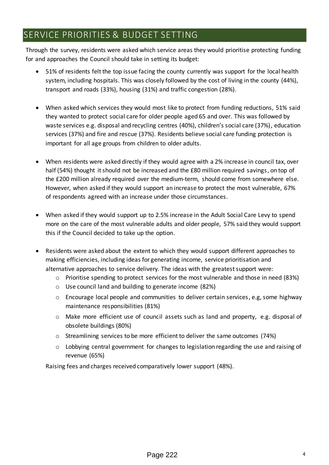# SERVICE PRIORITIES & BUDGET SETTING

Through the survey, residents were asked which service areas they would prioritise protecting funding for and approaches the Council should take in setting its budget:

- 51% of residents felt the top issue facing the county currently was support for the local health system, including hospitals. This was closely followed by the cost of living in the county (44%), transport and roads (33%), housing (31%) and traffic congestion (28%).
- When asked which services they would most like to protect from funding reductions, 51% said they wanted to protect social care for older people aged 65 and over. This was followed by waste services e.g. disposal and recycling centres (40%), children's social care (37%), education services (37%) and fire and rescue (37%). Residents believe social care funding protection is important for all age groups from children to older adults.
- When residents were asked directly if they would agree with a 2% increase in council tax, over half (54%) thought it should not be increased and the £80 million required savings, on top of the £200 million already required over the medium-term, should come from somewhere else. However, when asked if they would support an increase to protect the most vulnerable, 67% of respondents agreed with an increase under those circumstances.
- When asked if they would support up to 2.5% increase in the Adult Social Care Levy to spend more on the care of the most vulnerable adults and older people, 57% said they would support this if the Council decided to take up the option.
- Residents were asked about the extent to which they would support different approaches to making efficiencies, including ideas for generating income, service prioritisation and alternative approaches to service delivery. The ideas with the greatest support were:
	- o Prioritise spending to protect services for the most vulnerable and those in need (83%)
	- o Use council land and building to generate income (82%)
	- $\circ$  Encourage local people and communities to deliver certain services, e.g, some highway maintenance responsibilities (81%)
	- o Make more efficient use of council assets such as land and property, e.g. disposal of obsolete buildings (80%)
	- o Streamlining services to be more efficient to deliver the same outcomes (74%)
	- o Lobbying central government for changes to legislation regarding the use and raising of revenue (65%)

Raising fees and charges received comparatively lower support (48%).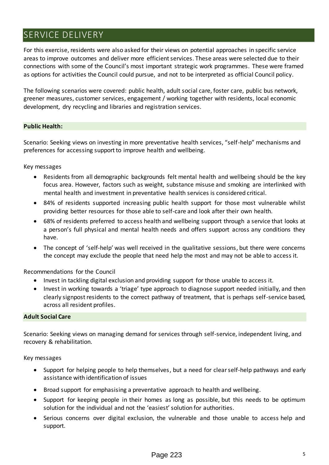# SERVICE DELIVERY

For this exercise, residents were also asked for their views on potential approaches in specific service areas to improve outcomes and deliver more efficient services. These areas were selected due to their connections with some of the Council's most important strategic work programmes. These were framed as options for activities the Council could pursue, and not to be interpreted as official Council policy.

The following scenarios were covered: public health, adult social care, foster care, public bus network, greener measures, customer services, engagement / working together with residents, local economic development, dry recycling and libraries and registration services.

# **Public Health:**

Scenario: Seeking views on investing in more preventative health services, "self-help" mechanisms and preferences for accessing support to improve health and wellbeing.

Key messages

- Residents from all demographic backgrounds felt mental health and wellbeing should be the key focus area. However, factors such as weight, substance misuse and smoking are interlinked with mental health and investment in preventative health services is considered critical.
- 84% of residents supported increasing public health support for those most vulnerable whilst providing better resources for those able to self-care and look after their own health.
- 68% of residents preferred to access health and wellbeing support through a service that looks at a person's full physical and mental health needs and offers support across any conditions they have.
- The concept of 'self-help' was well received in the qualitative sessions, but there were concerns the concept may exclude the people that need help the most and may not be able to access it.

Recommendations for the Council

- Invest in tackling digital exclusion and providing support for those unable to access it.
- Invest in working towards a 'triage' type approach to diagnose support needed initially, and then clearly signpost residents to the correct pathway of treatment, that is perhaps self-service based, across all resident profiles.

#### **Adult Social Care**

Scenario: Seeking views on managing demand for services through self-service, independent living, and recovery & rehabilitation.

Key messages

- Support for helping people to help themselves, but a need for clear self-help pathways and early assistance with identification of issues
- Broad support for emphasising a preventative approach to health and wellbeing.
- Support for keeping people in their homes as long as possible, but this needs to be optimum solution for the individual and not the 'easiest' solution for authorities.
- Serious concerns over digital exclusion, the vulnerable and those unable to access help and support.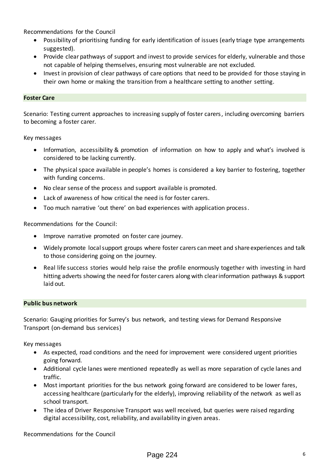Recommendations for the Council

- Possibility of prioritising funding for early identification of issues (early triage type arrangements suggested).
- Provide clear pathways of support and invest to provide services for elderly, vulnerable and those not capable of helping themselves, ensuring most vulnerable are not excluded.
- Invest in provision of clear pathways of care options that need to be provided for those staying in their own home or making the transition from a healthcare setting to another setting.

# **Foster Care**

Scenario: Testing current approaches to increasing supply of foster carers, including overcoming barriers to becoming a foster carer.

Key messages

- Information, accessibility & promotion of information on how to apply and what's involved is considered to be lacking currently.
- The physical space available in people's homes is considered a key barrier to fostering, together with funding concerns.
- No clear sense of the process and support available is promoted.
- Lack of awareness of how critical the need is for foster carers.
- Too much narrative 'out there' on bad experiences with application process.

Recommendations for the Council:

- Improve narrative promoted on foster care journey.
- Widely promote local support groups where foster carers can meet and share experiences and talk to those considering going on the journey.
- Real life success stories would help raise the profile enormously together with investing in hard hitting adverts showing the need for foster carers along with clear information pathways & support laid out.

#### **Public bus network**

Scenario: Gauging priorities for Surrey's bus network, and testing views for Demand Responsive Transport (on-demand bus services)

Key messages

- As expected, road conditions and the need for improvement were considered urgent priorities going forward.
- Additional cycle lanes were mentioned repeatedly as well as more separation of cycle lanes and traffic.
- Most important priorities for the bus network going forward are considered to be lower fares, accessing healthcare (particularly for the elderly), improving reliability of the network as well as school transport.
- The idea of Driver Responsive Transport was well received, but queries were raised regarding digital accessibility, cost, reliability, and availability in given areas.

Recommendations for the Council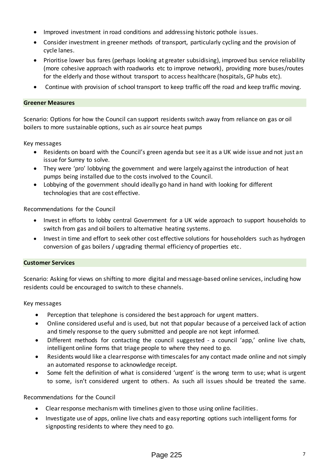- Improved investment in road conditions and addressing historic pothole issues.
- Consider investment in greener methods of transport, particularly cycling and the provision of cycle lanes.
- Prioritise lower bus fares (perhaps looking at greater subsidising), improved bus service reliability (more cohesive approach with roadworks etc to improve network), providing more buses/routes for the elderly and those without transport to access healthcare (hospitals, GP hubs etc).
- Continue with provision of school transport to keep traffic off the road and keep traffic moving.

## **Greener Measures**

Scenario: Options for how the Council can support residents switch away from reliance on gas or oil boilers to more sustainable options, such as air source heat pumps

Key messages

- Residents on board with the Council's green agenda but see it as a UK wide issue and not just an issue for Surrey to solve.
- They were 'pro' lobbying the government and were largely against the introduction of heat pumps being installed due to the costs involved to the Council.
- Lobbying of the government should ideally go hand in hand with looking for different technologies that are cost effective.

Recommendations for the Council

- Invest in efforts to lobby central Government for a UK wide approach to support households to switch from gas and oil boilers to alternative heating systems.
- Invest in time and effort to seek other cost effective solutions for householders such as hydrogen conversion of gas boilers / upgrading thermal efficiency of properties etc.

# **Customer Services**

Scenario: Asking for views on shifting to more digital and message-based online services, including how residents could be encouraged to switch to these channels.

Key messages

- Perception that telephone is considered the best approach for urgent matters.
- Online considered useful and is used, but not that popular because of a perceived lack of action and timely response to the query submitted and people are not kept informed.
- Different methods for contacting the council suggested a council 'app,' online live chats, intelligent online forms that triage people to where they need to go.
- Residents would like a clear response with timescales for any contact made online and not simply an automated response to acknowledge receipt.
- Some felt the definition of what is considered 'urgent' is the wrong term to use; what is urgent to some, isn't considered urgent to others. As such all issues should be treated the same.

Recommendations for the Council

- Clear response mechanism with timelines given to those using online facilities.
- Investigate use of apps, online live chats and easy reporting options such intelligent forms for signposting residents to where they need to go.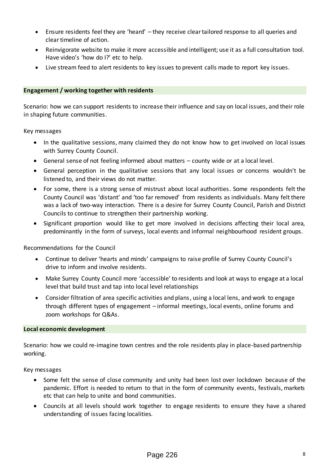- Ensure residents feel they are 'heard' they receive clear tailored response to all queries and clear timeline of action.
- Reinvigorate website to make it more accessible and intelligent; use it as a full consultation tool. Have video's 'how do I?' etc to help.
- Live stream feed to alert residents to key issues to prevent calls made to report key issues.

# **Engagement / working together with residents**

Scenario: how we can support residents to increase their influence and say on local issues, and their role in shaping future communities.

Key messages

- In the qualitative sessions, many claimed they do not know how to get involved on local issues with Surrey County Council.
- General sense of not feeling informed about matters county wide or at a local level.
- General perception in the qualitative sessions that any local issues or concerns wouldn't be listened to, and their views do not matter.
- For some, there is a strong sense of mistrust about local authorities. Some respondents felt the County Council was 'distant' and 'too far removed' from residents as individuals. Many felt there was a lack of two-way interaction. There is a desire for Surrey County Council, Parish and District Councils to continue to strengthen their partnership working.
- Significant proportion would like to get more involved in decisions affecting their local area, predominantly in the form of surveys, local events and informal neighbourhood resident groups.

Recommendations for the Council

- Continue to deliver 'hearts and minds' campaigns to raise profile of Surrey County Council's drive to inform and involve residents.
- Make Surrey County Council more 'accessible' to residents and look at ways to engage at a local level that build trust and tap into local level relationships
- Consider filtration of area specific activities and plans, using a local lens, and work to engage through different types of engagement – informal meetings, local events, online forums and zoom workshops for Q&As.

## **Local economic development**

Scenario: how we could re-imagine town centres and the role residents play in place-based partnership working.

Key messages

- Some felt the sense of close community and unity had been lost over lockdown because of the pandemic. Effort is needed to return to that in the form of community events, festivals, markets etc that can help to unite and bond communities.
- Councils at all levels should work together to engage residents to ensure they have a shared understanding of issues facing localities.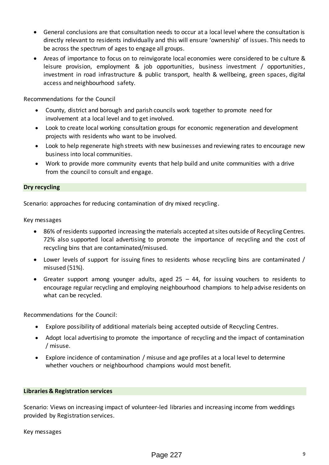- General conclusions are that consultation needs to occur at a local level where the consultation is directly relevant to residents individually and this will ensure 'ownership' of issues. This needs to be across the spectrum of ages to engage all groups.
- Areas of importance to focus on to reinvigorate local economies were considered to be culture & leisure provision, employment & job opportunities, business investment / opportunities, investment in road infrastructure & public transport, health & wellbeing, green spaces, digital access and neighbourhood safety.

Recommendations for the Council

- County, district and borough and parish councils work together to promote need for involvement at a local level and to get involved.
- Look to create local working consultation groups for economic regeneration and development projects with residents who want to be involved.
- Look to help regenerate high streets with new businesses and reviewing rates to encourage new business into local communities.
- Work to provide more community events that help build and unite communities with a drive from the council to consult and engage.

## **Dry recycling**

Scenario: approaches for reducing contamination of dry mixed recycling.

Key messages

- 86% of residents supported increasing the materials accepted at sites outside of Recycling Centres. 72% also supported local advertising to promote the importance of recycling and the cost of recycling bins that are contaminated/misused.
- Lower levels of support for issuing fines to residents whose recycling bins are contaminated / misused (51%).
- Greater support among younger adults, aged 25 44, for issuing vouchers to residents to encourage regular recycling and employing neighbourhood champions to help advise residents on what can be recycled.

Recommendations for the Council:

- Explore possibility of additional materials being accepted outside of Recycling Centres.
- Adopt local advertising to promote the importance of recycling and the impact of contamination / misuse.
- Explore incidence of contamination / misuse and age profiles at a local level to determine whether vouchers or neighbourhood champions would most benefit.

## **Libraries & Registration services**

Scenario: Views on increasing impact of volunteer-led libraries and increasing income from weddings provided by Registration services.

#### Key messages